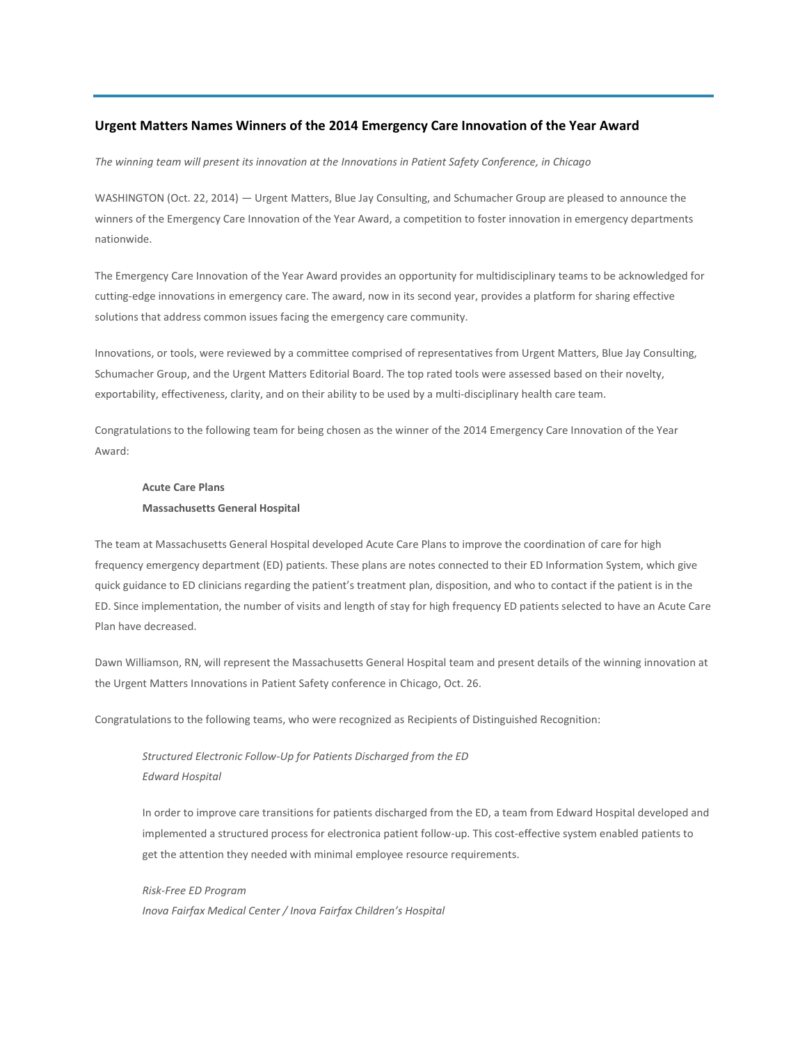# **Urgent Matters Names Winners of the 2014 Emergency Care Innovation of the Year Award**

*The winning team will present its innovation at the Innovations in Patient Safety Conference, in Chicago*

WASHINGTON (Oct. 22, 2014) — Urgent Matters, Blue Jay Consulting, and Schumacher Group are pleased to announce the winners of the Emergency Care Innovation of the Year Award, a competition to foster innovation in emergency departments nationwide.

The Emergency Care Innovation of the Year Award provides an opportunity for multidisciplinary teams to be acknowledged for cutting-edge innovations in emergency care. The award, now in its second year, provides a platform for sharing effective solutions that address common issues facing the emergency care community.

Innovations, or tools, were reviewed by a committee comprised of representatives from Urgent Matters, Blue Jay Consulting, Schumacher Group, and the Urgent Matters Editorial Board. The top rated tools were assessed based on their novelty, exportability, effectiveness, clarity, and on their ability to be used by a multi-disciplinary health care team.

Congratulations to the following team for being chosen as the winner of the 2014 Emergency Care Innovation of the Year Award:

# **Acute Care Plans Massachusetts General Hospital**

The team at Massachusetts General Hospital developed Acute Care Plans to improve the coordination of care for high frequency emergency department (ED) patients. These plans are notes connected to their ED Information System, which give quick guidance to ED clinicians regarding the patient's treatment plan, disposition, and who to contact if the patient is in the ED. Since implementation, the number of visits and length of stay for high frequency ED patients selected to have an Acute Care Plan have decreased.

Dawn Williamson, RN, will represent the Massachusetts General Hospital team and present details of the winning innovation at the Urgent Matters Innovations in Patient Safety conference in Chicago, Oct. 26.

Congratulations to the following teams, who were recognized as Recipients of Distinguished Recognition:

*Structured Electronic Follow-Up for Patients Discharged from the ED Edward Hospital*

In order to improve care transitions for patients discharged from the ED, a team from Edward Hospital developed and implemented a structured process for electronica patient follow-up. This cost-effective system enabled patients to get the attention they needed with minimal employee resource requirements.

*Risk-Free ED Program Inova Fairfax Medical Center / Inova Fairfax Children's Hospital*